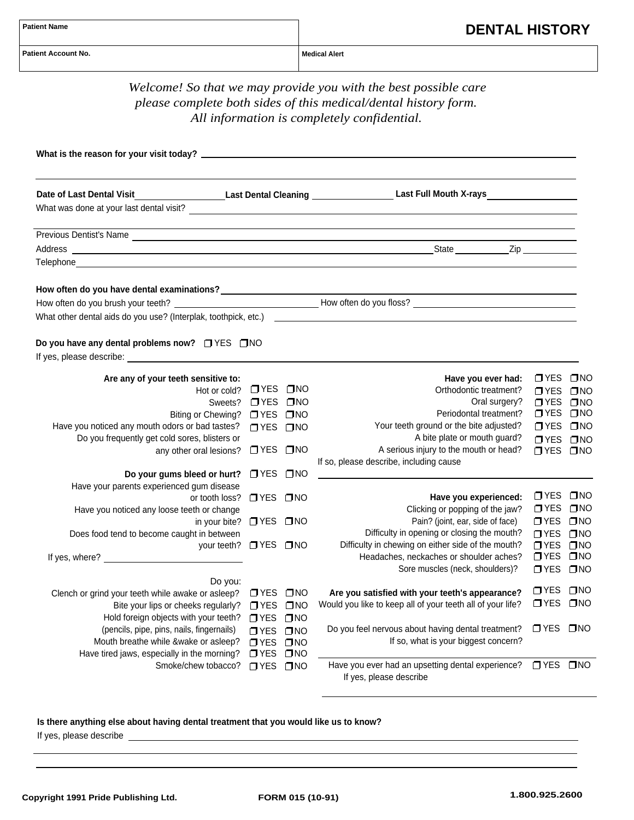| <b>Patient Name</b>        |  |
|----------------------------|--|
| <b>Patient Account No.</b> |  |

|                                                                                                                                                                                                                                                                                   |                                                                               |                                                              | Welcome! So that we may provide you with the best possible care<br>please complete both sides of this medical/dental history form.<br>All information is completely confidential.                                                                                               |                                                                                                  |                                                                              |
|-----------------------------------------------------------------------------------------------------------------------------------------------------------------------------------------------------------------------------------------------------------------------------------|-------------------------------------------------------------------------------|--------------------------------------------------------------|---------------------------------------------------------------------------------------------------------------------------------------------------------------------------------------------------------------------------------------------------------------------------------|--------------------------------------------------------------------------------------------------|------------------------------------------------------------------------------|
|                                                                                                                                                                                                                                                                                   |                                                                               |                                                              |                                                                                                                                                                                                                                                                                 |                                                                                                  |                                                                              |
| Date of Last Dental Visit                                                                                                                                                                                                                                                         |                                                                               |                                                              |                                                                                                                                                                                                                                                                                 |                                                                                                  |                                                                              |
|                                                                                                                                                                                                                                                                                   |                                                                               |                                                              |                                                                                                                                                                                                                                                                                 |                                                                                                  |                                                                              |
| Telephone and the contract of the contract of the contract of the contract of the contract of the contract of                                                                                                                                                                     |                                                                               |                                                              |                                                                                                                                                                                                                                                                                 |                                                                                                  |                                                                              |
| Do you have any dental problems now? □ YES □ NO<br>If yes, please describe: expression of the state of the state of the state of the state of the state of the state of the state of the state of the state of the state of the state of the state of the state of the state of t |                                                                               |                                                              |                                                                                                                                                                                                                                                                                 |                                                                                                  |                                                                              |
|                                                                                                                                                                                                                                                                                   |                                                                               |                                                              |                                                                                                                                                                                                                                                                                 |                                                                                                  |                                                                              |
| Are any of your teeth sensitive to:<br>Hot or cold?<br>Sweets?<br>Biting or Chewing?<br>Have you noticed any mouth odors or bad tastes?<br>Do you frequently get cold sores, blisters or<br>any other oral lesions?<br>Do your gums bleed or hurt?                                | OYES ONO<br>OYES ONO<br>OYES ONO<br><b>OYES ONO</b><br>□ YES □ NO<br>OYES ONO |                                                              | Have you ever had:<br>Orthodontic treatment?<br>Oral surgery?<br>Periodontal treatment?<br>Your teeth ground or the bite adjusted?<br>A bite plate or mouth guard?<br>A serious injury to the mouth or head?<br>If so, please describe, including cause                         | □ YES<br>$\sqcap$ YES<br><b>OYES ONO</b><br>OYES ONO<br>O YES ONO<br><b>OYES ONO</b><br>OYES ONO | $\square$ NO<br>$\square$ NO                                                 |
| Have your parents experienced gum disease<br>or tooth loss?<br>Have you noticed any loose teeth or change<br>in your bite? □ YES □ NO<br>Does food tend to become caught in between<br>your teeth?<br>If yes, where?                                                              | OYES ONO<br>OYES ONO                                                          |                                                              | Have you experienced:<br>Clicking or popping of the jaw?<br>Pain? (joint, ear, side of face)<br>Difficulty in opening or closing the mouth?<br>Difficulty in chewing on either side of the mouth?<br>Headaches, neckaches or shoulder aches?<br>Sore muscles (neck, shoulders)? | OYES ONO<br>$T$ YES<br>OYES ONO<br>$\square$ YES<br>$\Box$ YES<br>$\square$ YES<br>$\square$ YES | $\square$ NO<br>$\square$ NO<br>$\square$ NO<br>$\square$ NO<br>$\square$ NO |
| Do you:<br>Clench or grind your teeth while awake or asleep?<br>Bite your lips or cheeks regularly?<br>Hold foreign objects with your teeth?<br>(pencils, pipe, pins, nails, fingernails)<br>Mouth breathe while &wake or asleep?                                                 | OYES ONO<br>OYES ONO<br>$\Box$ YES<br>$\Box$ YES<br>$T$ YES                   | $\square$ NO<br>$\square$ NO<br>$\square$ NO<br>$\square$ NO | Are you satisfied with your teeth's appearance?<br>Would you like to keep all of your teeth all of your life?<br>Do you feel nervous about having dental treatment?<br>If so, what is your biggest concern?                                                                     | $\Box$ YES<br>$\Box$ YES<br>□ YES □ NO                                                           | $\square$ NO<br>$\square$ NO                                                 |

## **Is there anything else about having dental treatment that you would like us to know?**

If yes, please describe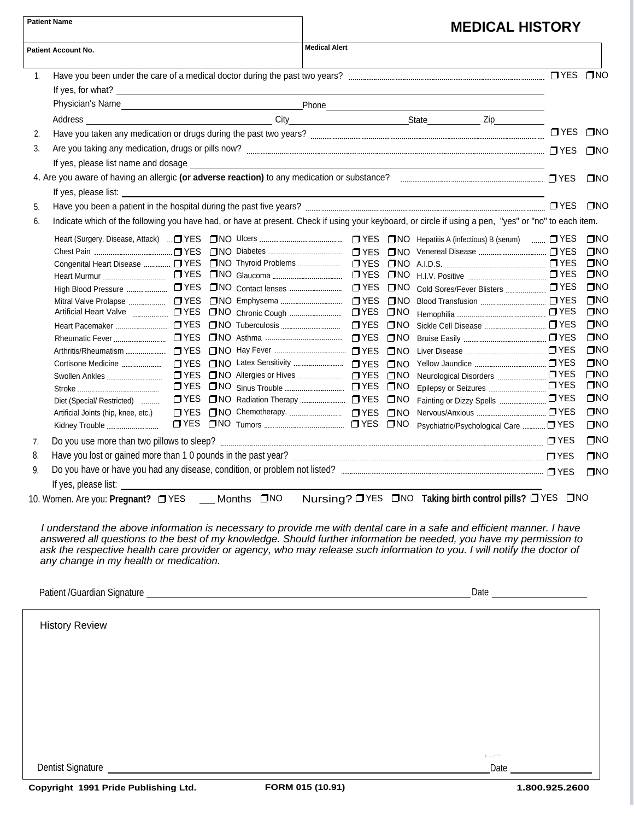| <b>Patient Name</b> |                                                                   |               | <b>MEDICAL HISTORY</b> |                      |                              |                                                                                                                                                                                                                                                                                                                                                                         |            |                              |
|---------------------|-------------------------------------------------------------------|---------------|------------------------|----------------------|------------------------------|-------------------------------------------------------------------------------------------------------------------------------------------------------------------------------------------------------------------------------------------------------------------------------------------------------------------------------------------------------------------------|------------|------------------------------|
|                     | <b>Patient Account No.</b>                                        |               |                        | <b>Medical Alert</b> |                              |                                                                                                                                                                                                                                                                                                                                                                         |            |                              |
| 1.                  |                                                                   |               |                        |                      |                              |                                                                                                                                                                                                                                                                                                                                                                         |            |                              |
|                     |                                                                   |               |                        |                      |                              |                                                                                                                                                                                                                                                                                                                                                                         |            |                              |
|                     |                                                                   |               |                        |                      |                              |                                                                                                                                                                                                                                                                                                                                                                         |            |                              |
|                     |                                                                   |               |                        |                      |                              |                                                                                                                                                                                                                                                                                                                                                                         |            |                              |
| 2.                  |                                                                   |               |                        |                      |                              |                                                                                                                                                                                                                                                                                                                                                                         | $\Box$ YES | <b>TNO</b>                   |
| 3.                  |                                                                   |               |                        |                      |                              |                                                                                                                                                                                                                                                                                                                                                                         |            | $\Box$ NO                    |
|                     |                                                                   |               |                        |                      |                              |                                                                                                                                                                                                                                                                                                                                                                         |            |                              |
|                     |                                                                   |               |                        |                      |                              |                                                                                                                                                                                                                                                                                                                                                                         |            | <b>TINO</b>                  |
|                     |                                                                   |               |                        |                      |                              |                                                                                                                                                                                                                                                                                                                                                                         |            |                              |
| 5.                  |                                                                   |               |                        |                      |                              |                                                                                                                                                                                                                                                                                                                                                                         | OYES ONO   |                              |
| 6.                  |                                                                   |               |                        |                      |                              | Indicate which of the following you have had, or have at present. Check if using your keyboard, or circle if using a pen, "yes" or "no" to each item.                                                                                                                                                                                                                   |            |                              |
|                     |                                                                   |               |                        |                      |                              |                                                                                                                                                                                                                                                                                                                                                                         |            | $\square$ NO                 |
|                     |                                                                   |               |                        |                      |                              |                                                                                                                                                                                                                                                                                                                                                                         |            | $\square$ NO                 |
|                     |                                                                   |               |                        |                      |                              |                                                                                                                                                                                                                                                                                                                                                                         |            | $\square$ NO                 |
|                     |                                                                   |               |                        |                      |                              |                                                                                                                                                                                                                                                                                                                                                                         |            | $\square$ NO<br>$\square$ NO |
|                     |                                                                   |               |                        |                      | $\square$ NO<br>$\square$ NO |                                                                                                                                                                                                                                                                                                                                                                         |            | $\square$ NO                 |
|                     |                                                                   |               |                        |                      |                              |                                                                                                                                                                                                                                                                                                                                                                         |            | $\square$ NO                 |
|                     |                                                                   |               |                        |                      | $\square$ NO                 |                                                                                                                                                                                                                                                                                                                                                                         |            | $\square$ NO                 |
|                     |                                                                   |               |                        |                      | $\square$ NO                 |                                                                                                                                                                                                                                                                                                                                                                         |            | $\square$ NO                 |
|                     |                                                                   |               |                        |                      |                              |                                                                                                                                                                                                                                                                                                                                                                         |            | $\square$ NO                 |
|                     |                                                                   |               |                        |                      |                              |                                                                                                                                                                                                                                                                                                                                                                         |            | $\square$ NO                 |
|                     | Swollen Ankles                                                    | $\square$ YES |                        |                      | $\square$ NO                 |                                                                                                                                                                                                                                                                                                                                                                         |            | $\square$ NO                 |
|                     |                                                                   |               |                        |                      | $\square$ NO                 |                                                                                                                                                                                                                                                                                                                                                                         |            | $\square$ NO<br>$\square$ NO |
|                     | Diet (Special/ Restricted)<br>Artificial Joints (hip, knee, etc.) |               |                        |                      | $\square$ NO<br>$\square$ NO |                                                                                                                                                                                                                                                                                                                                                                         |            | $\square$ NO                 |
|                     | Kidney Trouble                                                    |               |                        |                      |                              | Psychiatric/Psychological Care  TYES                                                                                                                                                                                                                                                                                                                                    |            | $\Box$ NO                    |
| 7.                  |                                                                   |               |                        |                      |                              |                                                                                                                                                                                                                                                                                                                                                                         |            | $\square$ NO                 |
| 8.                  |                                                                   |               |                        |                      |                              |                                                                                                                                                                                                                                                                                                                                                                         |            | $\square$ NO                 |
| 9.                  |                                                                   |               |                        |                      |                              |                                                                                                                                                                                                                                                                                                                                                                         |            |                              |
|                     | If yes, please list:                                              |               |                        |                      |                              |                                                                                                                                                                                                                                                                                                                                                                         |            | $\square$ NO                 |
|                     | 10. Women. Are you: Pregnant? TYES __ Months TNO                  |               |                        |                      |                              | Nursing? OYES ONO Taking birth control pills? OYES ONO                                                                                                                                                                                                                                                                                                                  |            |                              |
|                     | any change in my health or medication.                            |               |                        |                      |                              | I understand the above information is necessary to provide me with dental care in a safe and efficient manner. I have<br>answered all questions to the best of my knowledge. Should further information be needed, you have my permission to<br>ask the respective health care provider or agency, who may release such information to you. I will notify the doctor of |            |                              |
|                     |                                                                   |               |                        |                      |                              | Date _________________________                                                                                                                                                                                                                                                                                                                                          |            |                              |
|                     | <b>History Review</b>                                             |               |                        |                      |                              |                                                                                                                                                                                                                                                                                                                                                                         |            |                              |
|                     |                                                                   |               |                        |                      |                              |                                                                                                                                                                                                                                                                                                                                                                         |            |                              |
|                     |                                                                   |               |                        |                      |                              | $k = -1$                                                                                                                                                                                                                                                                                                                                                                |            |                              |

Dentist Signature Date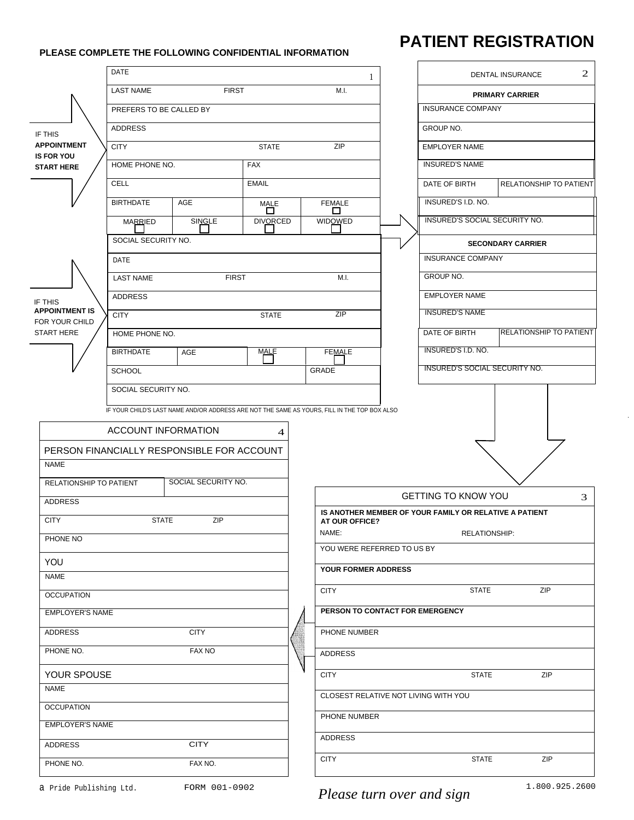## **PLEASE COMPLETE THE FOLLOWING CONFIDENTIAL INFORMATION**

## **PATIENT REGISTRATION**

|                                         |                                          |                                                                                              |                 |  |                                      | DENTAL INSURANCE | 2                                                      |                                |   |
|-----------------------------------------|------------------------------------------|----------------------------------------------------------------------------------------------|-----------------|--|--------------------------------------|------------------|--------------------------------------------------------|--------------------------------|---|
|                                         | <b>FIRST</b><br>M.I.<br><b>LAST NAME</b> |                                                                                              |                 |  |                                      |                  | <b>PRIMARY CARRIER</b>                                 |                                |   |
|                                         | PREFERS TO BE CALLED BY                  |                                                                                              |                 |  |                                      |                  | <b>INSURANCE COMPANY</b>                               |                                |   |
| IF THIS                                 | <b>ADDRESS</b>                           |                                                                                              |                 |  |                                      |                  | GROUP NO.                                              |                                |   |
| <b>APPOINTMENT</b>                      | <b>CITY</b>                              |                                                                                              | <b>STATE</b>    |  | ZIP<br><b>EMPLOYER NAME</b>          |                  |                                                        |                                |   |
| <b>IS FOR YOU</b><br><b>START HERE</b>  | HOME PHONE NO.                           |                                                                                              | <b>FAX</b>      |  |                                      |                  | <b>INSURED'S NAME</b>                                  |                                |   |
|                                         | <b>CELL</b>                              |                                                                                              | <b>EMAIL</b>    |  |                                      |                  | DATE OF BIRTH                                          | RELATIONSHIP TO PATIENT        |   |
|                                         | <b>BIRTHDATE</b>                         | <b>AGE</b>                                                                                   | MALE<br>□       |  | <b>FEMALE</b><br>□                   |                  | INSURED'S I.D. NO.                                     |                                |   |
|                                         | <b>MARRIED</b>                           | SINGLE                                                                                       | <b>DIVORCED</b> |  | WIDOWED                              |                  | INSURED'S SOCIAL SECURITY NO.                          |                                |   |
|                                         | SOCIAL SECURITY NO.                      |                                                                                              |                 |  |                                      |                  |                                                        | <b>SECONDARY CARRIER</b>       |   |
|                                         | DATE                                     |                                                                                              |                 |  |                                      |                  | <b>INSURANCE COMPANY</b>                               |                                |   |
|                                         | <b>LAST NAME</b>                         | <b>FIRST</b>                                                                                 |                 |  | M.I.                                 |                  | GROUP NO.                                              |                                |   |
| IF THIS                                 | <b>ADDRESS</b>                           |                                                                                              |                 |  |                                      |                  | <b>EMPLOYER NAME</b>                                   |                                |   |
| <b>APPOINTMENT IS</b><br>FOR YOUR CHILD | <b>CITY</b>                              |                                                                                              | <b>STATE</b>    |  | ZIP                                  |                  | <b>INSURED'S NAME</b>                                  |                                |   |
| <b>START HERE</b>                       | HOME PHONE NO.                           |                                                                                              |                 |  |                                      |                  | <b>DATE OF BIRTH</b>                                   | <b>RELATIONSHIP TO PATIENT</b> |   |
|                                         | <b>BIRTHDATE</b>                         | AGE                                                                                          | <b>MALE</b>     |  | <b>FEMALE</b>                        |                  | <b>INSURED'S I.D. NO.</b>                              |                                |   |
|                                         | <b>SCHOOL</b>                            |                                                                                              |                 |  | GRADE                                |                  | <b>INSURED'S SOCIAL SECURITY NO.</b>                   |                                |   |
|                                         | SOCIAL SECURITY NO.                      |                                                                                              |                 |  |                                      |                  |                                                        |                                |   |
|                                         |                                          | IF YOUR CHILD'S LAST NAME AND/OR ADDRESS ARE NOT THE SAME AS YOURS, FILL IN THE TOP BOX ALSO |                 |  |                                      |                  |                                                        |                                |   |
|                                         | <b>ACCOUNT INFORMATION</b>               |                                                                                              | $\overline{4}$  |  |                                      |                  |                                                        |                                |   |
|                                         |                                          | PERSON FINANCIALLY RESPONSIBLE FOR ACCOUNT                                                   |                 |  |                                      |                  |                                                        |                                |   |
| <b>NAME</b>                             |                                          |                                                                                              |                 |  |                                      |                  |                                                        |                                |   |
| RELATIONSHIP TO PATIENT                 |                                          | SOCIAL SECURITY NO.                                                                          |                 |  |                                      |                  |                                                        |                                |   |
| <b>ADDRESS</b>                          |                                          |                                                                                              |                 |  |                                      |                  | <b>GETTING TO KNOW YOU</b>                             |                                |   |
| <b>CITY</b>                             | <b>STATE</b>                             | ZIP                                                                                          |                 |  |                                      |                  |                                                        |                                | 3 |
| PHONE NO                                |                                          |                                                                                              |                 |  | AT OUR OFFICE?                       |                  | IS ANOTHER MEMBER OF YOUR FAMILY OR RELATIVE A PATIENT |                                |   |
|                                         |                                          |                                                                                              |                 |  | NAME:                                |                  | RELATIONSHIP:                                          |                                |   |
| YOU                                     |                                          |                                                                                              |                 |  | YOU WERE REFERRED TO US BY           |                  |                                                        |                                |   |
| <b>NAME</b>                             |                                          |                                                                                              |                 |  | YOUR FORMER ADDRESS                  |                  |                                                        |                                |   |
| <b>OCCUPATION</b>                       |                                          |                                                                                              |                 |  | <b>CITY</b>                          |                  | <b>STATE</b>                                           | ZIP                            |   |
| <b>EMPLOYER'S NAME</b>                  |                                          |                                                                                              |                 |  | PERSON TO CONTACT FOR EMERGENCY      |                  |                                                        |                                |   |
| <b>ADDRESS</b>                          |                                          | <b>CITY</b>                                                                                  |                 |  | PHONE NUMBER                         |                  |                                                        |                                |   |
| PHONE NO.                               |                                          | <b>FAX NO</b>                                                                                |                 |  | <b>ADDRESS</b>                       |                  |                                                        |                                |   |
| YOUR SPOUSE                             |                                          |                                                                                              |                 |  | <b>CITY</b>                          |                  | <b>STATE</b>                                           | ZIP                            |   |
| NAME                                    |                                          |                                                                                              |                 |  | CLOSEST RELATIVE NOT LIVING WITH YOU |                  |                                                        |                                |   |
| <b>OCCUPATION</b>                       |                                          |                                                                                              |                 |  | PHONE NUMBER                         |                  |                                                        |                                |   |
| <b>EMPLOYER'S NAME</b>                  |                                          |                                                                                              |                 |  |                                      |                  |                                                        |                                |   |
| <b>ADDRESS</b>                          |                                          | <b>CITY</b>                                                                                  |                 |  | ADDRESS<br><b>CITY</b>               |                  | <b>STATE</b>                                           | ZIP                            |   |

.